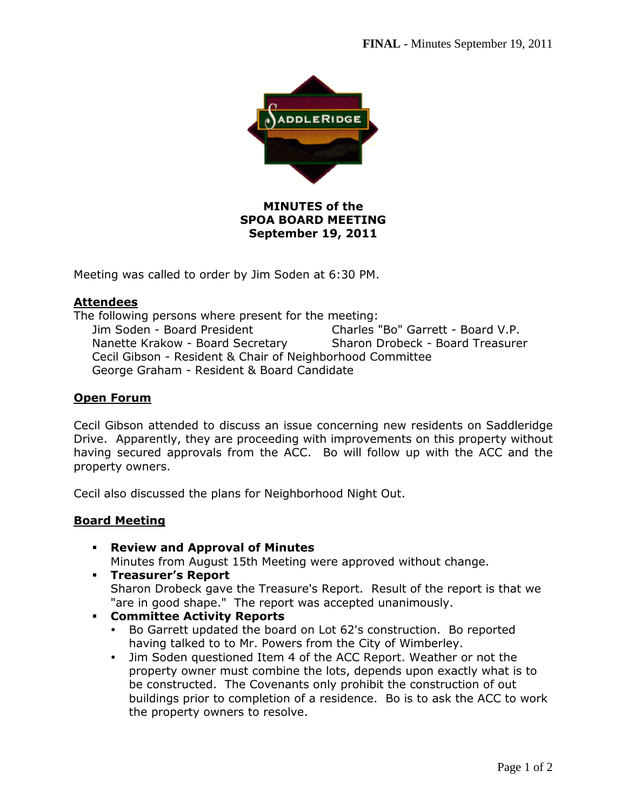

# **MINUTES of the SPOA BOARD MEETING September 19, 2011**

Meeting was called to order by Jim Soden at 6:30 PM.

#### **Attendees**

The following persons where present for the meeting: Jim Soden - Board President Charles "Bo" Garrett - Board V.P. Nanette Krakow - Board Secretary Sharon Drobeck - Board Treasurer Cecil Gibson - Resident & Chair of Neighborhood Committee George Graham - Resident & Board Candidate

#### **Open Forum**

Cecil Gibson attended to discuss an issue concerning new residents on Saddleridge Drive. Apparently, they are proceeding with improvements on this property without having secured approvals from the ACC. Bo will follow up with the ACC and the property owners.

Cecil also discussed the plans for Neighborhood Night Out.

### **Board Meeting**

- **Review and Approval of Minutes**  Minutes from August 15th Meeting were approved without change.
- **Treasurer's Report**

Sharon Drobeck gave the Treasure's Report. Result of the report is that we "are in good shape." The report was accepted unanimously.

- **Committee Activity Reports** 
	- Bo Garrett updated the board on Lot 62's construction. Bo reported having talked to to Mr. Powers from the City of Wimberley.
	- Jim Soden questioned Item 4 of the ACC Report. Weather or not the property owner must combine the lots, depends upon exactly what is to be constructed. The Covenants only prohibit the construction of out buildings prior to completion of a residence. Bo is to ask the ACC to work the property owners to resolve.